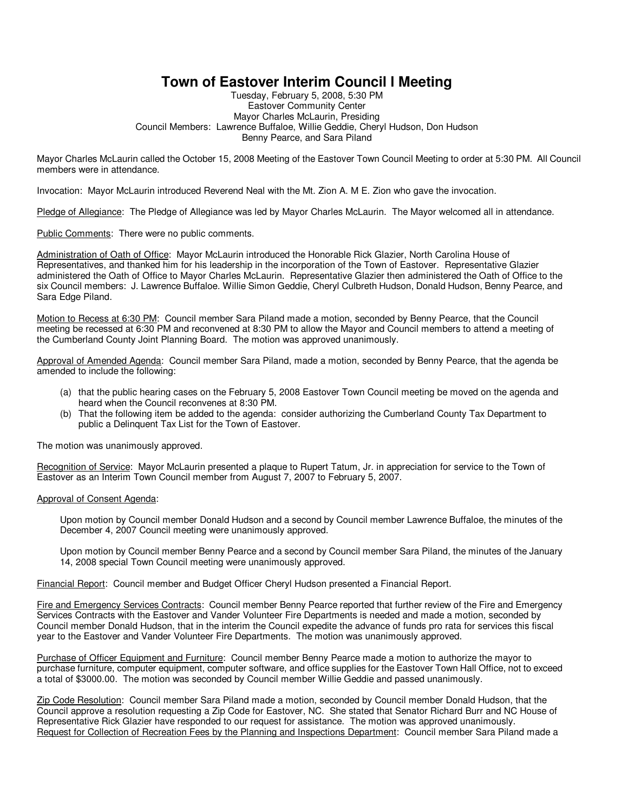## **Town of Eastover Interim Council l Meeting**

Tuesday, February 5, 2008, 5:30 PM Eastover Community Center Mayor Charles McLaurin, Presiding Council Members: Lawrence Buffaloe, Willie Geddie, Cheryl Hudson, Don Hudson Benny Pearce, and Sara Piland

Mayor Charles McLaurin called the October 15, 2008 Meeting of the Eastover Town Council Meeting to order at 5:30 PM. All Council members were in attendance.

Invocation: Mayor McLaurin introduced Reverend Neal with the Mt. Zion A. M E. Zion who gave the invocation.

Pledge of Allegiance: The Pledge of Allegiance was led by Mayor Charles McLaurin. The Mayor welcomed all in attendance.

Public Comments: There were no public comments.

Administration of Oath of Office: Mayor McLaurin introduced the Honorable Rick Glazier, North Carolina House of Representatives, and thanked him for his leadership in the incorporation of the Town of Eastover. Representative Glazier administered the Oath of Office to Mayor Charles McLaurin. Representative Glazier then administered the Oath of Office to the six Council members: J. Lawrence Buffaloe. Willie Simon Geddie, Cheryl Culbreth Hudson, Donald Hudson, Benny Pearce, and Sara Edge Piland.

Motion to Recess at 6:30 PM: Council member Sara Piland made a motion, seconded by Benny Pearce, that the Council meeting be recessed at 6:30 PM and reconvened at 8:30 PM to allow the Mayor and Council members to attend a meeting of the Cumberland County Joint Planning Board. The motion was approved unanimously.

Approval of Amended Agenda: Council member Sara Piland, made a motion, seconded by Benny Pearce, that the agenda be amended to include the following:

- (a) that the public hearing cases on the February 5, 2008 Eastover Town Council meeting be moved on the agenda and heard when the Council reconvenes at 8:30 PM.
- (b) That the following item be added to the agenda: consider authorizing the Cumberland County Tax Department to public a Delinquent Tax List for the Town of Eastover.

The motion was unanimously approved.

Recognition of Service: Mayor McLaurin presented a plaque to Rupert Tatum, Jr. in appreciation for service to the Town of Eastover as an Interim Town Council member from August 7, 2007 to February 5, 2007.

## Approval of Consent Agenda:

Upon motion by Council member Donald Hudson and a second by Council member Lawrence Buffaloe, the minutes of the December 4, 2007 Council meeting were unanimously approved.

Upon motion by Council member Benny Pearce and a second by Council member Sara Piland, the minutes of the January 14, 2008 special Town Council meeting were unanimously approved.

Financial Report: Council member and Budget Officer Cheryl Hudson presented a Financial Report.

Fire and Emergency Services Contracts: Council member Benny Pearce reported that further review of the Fire and Emergency Services Contracts with the Eastover and Vander Volunteer Fire Departments is needed and made a motion, seconded by Council member Donald Hudson, that in the interim the Council expedite the advance of funds pro rata for services this fiscal year to the Eastover and Vander Volunteer Fire Departments. The motion was unanimously approved.

Purchase of Officer Equipment and Furniture: Council member Benny Pearce made a motion to authorize the mayor to purchase furniture, computer equipment, computer software, and office supplies for the Eastover Town Hall Office, not to exceed a total of \$3000.00. The motion was seconded by Council member Willie Geddie and passed unanimously.

Zip Code Resolution: Council member Sara Piland made a motion, seconded by Council member Donald Hudson, that the Council approve a resolution requesting a Zip Code for Eastover, NC. She stated that Senator Richard Burr and NC House of Representative Rick Glazier have responded to our request for assistance. The motion was approved unanimously. Request for Collection of Recreation Fees by the Planning and Inspections Department: Council member Sara Piland made a